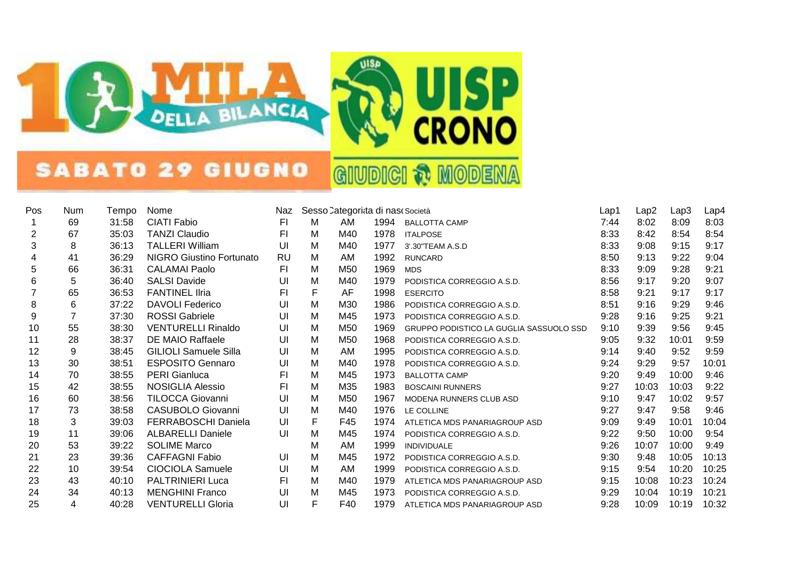

## SABATO 29 GIUGNO

**GIUDICI & MODENA** 

| Pos            | Num | Tempo | Nome                            | Naz       | Sesso Categorita di nas Società |     |      |                                         | Lap1 | Lap2  | Lap3  | Lap4  |
|----------------|-----|-------|---------------------------------|-----------|---------------------------------|-----|------|-----------------------------------------|------|-------|-------|-------|
| 1              | 69  | 31:58 | <b>CIATI Fabio</b>              | FI        | М                               | AM  | 1994 | <b>BALLOTTA CAMP</b>                    | 7:44 | 8:02  | 8:09  | 8:03  |
| $\overline{c}$ | 67  | 35:03 | <b>TANZI Claudio</b>            | FI.       | М                               | M40 | 1978 | <b>ITALPOSE</b>                         | 8:33 | 8:42  | 8:54  | 8:54  |
| 3              | 8   | 36:13 | <b>TALLERI William</b>          | UI        | М                               | M40 | 1977 | 3'.30"TEAM A.S.D                        | 8:33 | 9:08  | 9:15  | 9:17  |
| 4              | 41  | 36:29 | <b>NIGRO Giustino Fortunato</b> | <b>RU</b> | M                               | AM  | 1992 | <b>RUNCARD</b>                          | 8:50 | 9:13  | 9:22  | 9:04  |
| 5              | 66  | 36:31 | <b>CALAMAI Paolo</b>            | FI.       | Μ                               | M50 | 1969 | <b>MDS</b>                              | 8:33 | 9:09  | 9:28  | 9:21  |
| 6              | 5   | 36:40 | <b>SALSI Davide</b>             | UI        | M                               | M40 | 1979 | PODISTICA CORREGGIO A.S.D.              | 8:56 | 9:17  | 9:20  | 9:07  |
| $\overline{7}$ | 65  | 36:53 | <b>FANTINEL IIria</b>           | FI.       | F                               | AF  | 1998 | <b>ESERCITO</b>                         | 8:58 | 9:21  | 9:17  | 9:17  |
| 8              | 6   | 37:22 | <b>DAVOLI Federico</b>          | UI        | M                               | M30 | 1986 | PODISTICA CORREGGIO A.S.D.              | 8:51 | 9:16  | 9:29  | 9:46  |
| 9              | 7   | 37:30 | <b>ROSSI Gabriele</b>           | UI        | Μ                               | M45 | 1973 | PODISTICA CORREGGIO A.S.D.              | 9:28 | 9:16  | 9:25  | 9:21  |
| 10             | 55  | 38:30 | <b>VENTURELLI Rinaldo</b>       | UI        | Μ                               | M50 | 1969 | GRUPPO PODISTICO LA GUGLIA SASSUOLO SSD | 9:10 | 9:39  | 9:56  | 9:45  |
| 11             | 28  | 38:37 | DE MAIO Raffaele                | UI        | Μ                               | M50 | 1968 | PODISTICA CORREGGIO A.S.D.              | 9:05 | 9:32  | 10:01 | 9:59  |
| 12             | 9   | 38:45 | <b>GILIOLI Samuele Silla</b>    | UI        | Μ                               | AM  | 1995 | PODISTICA CORREGGIO A.S.D.              | 9:14 | 9:40  | 9:52  | 9:59  |
| 13             | 30  | 38:51 | <b>ESPOSITO Gennaro</b>         | UI        | Μ                               | M40 | 1978 | PODISTICA CORREGGIO A.S.D.              | 9:24 | 9:29  | 9:57  | 10:01 |
| 14             | 70  | 38:55 | <b>PERI Gianluca</b>            | F1        | Μ                               | M45 | 1973 | <b>BALLOTTA CAMP</b>                    | 9:20 | 9:49  | 10:00 | 9:46  |
| 15             | 42  | 38:55 | NOSIGLIA Alessio                | F1        | M                               | M35 | 1983 | <b>BOSCAINI RUNNERS</b>                 | 9:27 | 10:03 | 10:03 | 9:22  |
| 16             | 60  | 38:56 | TILOCCA Giovanni                | UI        | Μ                               | M50 | 1967 | MODENA RUNNERS CLUB ASD                 | 9:10 | 9:47  | 10:02 | 9:57  |
| 17             | 73  | 38:58 | CASUBOLO Giovanni               | UI        | M                               | M40 | 1976 | LE COLLINE                              | 9:27 | 9:47  | 9:58  | 9:46  |
| 18             | 3   | 39:03 | FERRABOSCHI Daniela             | UI        | F                               | F45 | 1974 | ATLETICA MDS PANARIAGROUP ASD           | 9:09 | 9:49  | 10:01 | 10:04 |
| 19             | 11  | 39:06 | <b>ALBARELLI Daniele</b>        | UI        | Μ                               | M45 | 1974 | PODISTICA CORREGGIO A.S.D.              | 9:22 | 9:50  | 10:00 | 9:54  |
| 20             | 53  | 39:22 | <b>SOLIME Marco</b>             |           | M                               | AM  | 1999 | <b>INDIVIDUALE</b>                      | 9:26 | 10:07 | 10:00 | 9:49  |
| 21             | 23  | 39:36 | <b>CAFFAGNI Fabio</b>           | UI        | M                               | M45 | 1972 | PODISTICA CORREGGIO A.S.D.              | 9:30 | 9:48  | 10:05 | 10:13 |
| 22             | 10  | 39:54 | CIOCIOLA Samuele                | UI        | M                               | AM  | 1999 | PODISTICA CORREGGIO A.S.D.              | 9:15 | 9:54  | 10:20 | 10:25 |
| 23             | 43  | 40:10 | <b>PALTRINIERI Luca</b>         | F1        | Μ                               | M40 | 1979 | ATLETICA MDS PANARIAGROUP ASD           | 9:15 | 10:08 | 10:23 | 10:24 |
| 24             | 34  | 40:13 | <b>MENGHINI Franco</b>          | UI        | Μ                               | M45 | 1973 | PODISTICA CORREGGIO A.S.D.              | 9:29 | 10:04 | 10:19 | 10:21 |
| 25             | 4   | 40:28 | <b>VENTURELLI Gloria</b>        | UI        | F                               | F40 | 1979 | ATLETICA MDS PANARIAGROUP ASD           | 9:28 | 10:09 | 10:19 | 10:32 |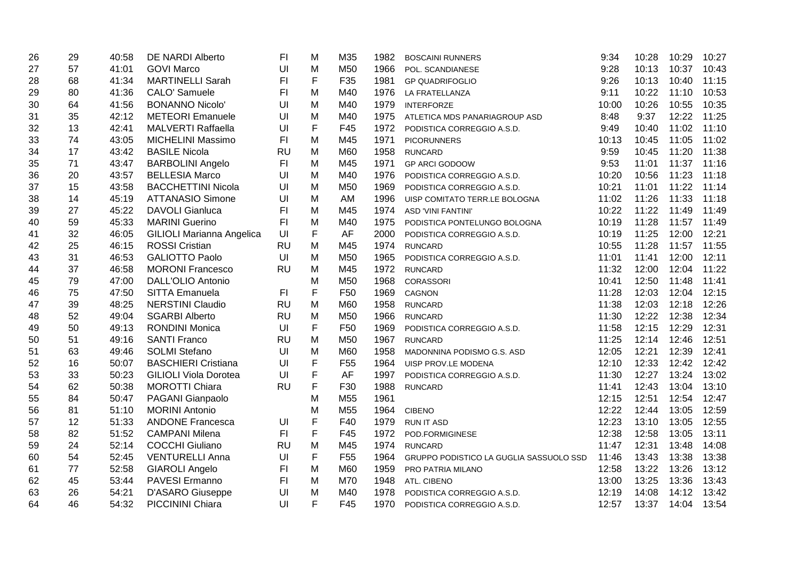| 26 | 29 | 40:58 | <b>DE NARDI Alberto</b>      | FI             | М | M35             | 1982 | <b>BOSCAINI RUNNERS</b>                 | 9:34  | 10:28 | 10:29 | 10:27 |
|----|----|-------|------------------------------|----------------|---|-----------------|------|-----------------------------------------|-------|-------|-------|-------|
| 27 | 57 | 41:01 | <b>GOVI Marco</b>            | UI             | M | M50             | 1966 | POL. SCANDIANESE                        | 9:28  | 10:13 | 10:37 | 10:43 |
| 28 | 68 | 41:34 | <b>MARTINELLI Sarah</b>      | F1             | F | F35             | 1981 | <b>GP QUADRIFOGLIO</b>                  | 9:26  | 10:13 | 10:40 | 11:15 |
| 29 | 80 | 41:36 | CALO' Samuele                | FI             | M | M40             | 1976 | LA FRATELLANZA                          | 9:11  | 10:22 | 11:10 | 10:53 |
| 30 | 64 | 41:56 | <b>BONANNO Nicolo'</b>       | UI             | M | M40             | 1979 | <b>INTERFORZE</b>                       | 10:00 | 10:26 | 10:55 | 10:35 |
| 31 | 35 | 42:12 | <b>METEORI</b> Emanuele      | UI             | M | M40             | 1975 | ATLETICA MDS PANARIAGROUP ASD           | 8:48  | 9:37  | 12:22 | 11:25 |
| 32 | 13 | 42:41 | <b>MALVERTI Raffaella</b>    | UI             | F | F45             | 1972 | PODISTICA CORREGGIO A.S.D.              | 9:49  | 10:40 | 11:02 | 11:10 |
| 33 | 74 | 43:05 | <b>MICHELINI Massimo</b>     | F <sub>1</sub> | M | M45             | 1971 | <b>PICORUNNERS</b>                      | 10:13 | 10:45 | 11:05 | 11:02 |
| 34 | 17 | 43:42 | <b>BASILE Nicola</b>         | <b>RU</b>      | M | M60             | 1958 | <b>RUNCARD</b>                          | 9:59  | 10:45 | 11:20 | 11:38 |
| 35 | 71 | 43:47 | <b>BARBOLINI Angelo</b>      | FI             | M | M45             | 1971 | GP ARCI GODOOW                          | 9:53  | 11:01 | 11:37 | 11:16 |
| 36 | 20 | 43:57 | <b>BELLESIA Marco</b>        | UI             | M | M40             | 1976 | PODISTICA CORREGGIO A.S.D.              | 10:20 | 10:56 | 11:23 | 11:18 |
| 37 | 15 | 43:58 | <b>BACCHETTINI Nicola</b>    | UI             | M | M50             | 1969 | PODISTICA CORREGGIO A.S.D.              | 10:21 | 11:01 | 11:22 | 11:14 |
| 38 | 14 | 45:19 | <b>ATTANASIO Simone</b>      | U              | M | AM              | 1996 | UISP COMITATO TERR.LE BOLOGNA           | 11:02 | 11:26 | 11:33 | 11:18 |
| 39 | 27 | 45:22 | <b>DAVOLI Gianluca</b>       | F1             | M | M45             | 1974 | <b>ASD 'VINI FANTINI'</b>               | 10:22 | 11:22 | 11:49 | 11:49 |
| 40 | 59 | 45:33 | <b>MARINI Guerino</b>        | F1             | M | M40             | 1975 | PODISTICA PONTELUNGO BOLOGNA            | 10:19 | 11:28 | 11:57 | 11:49 |
| 41 | 32 | 46:05 | GILIOLI Marianna Angelica    | U              | F | AF              | 2000 | PODISTICA CORREGGIO A.S.D.              | 10:19 | 11:25 | 12:00 | 12:21 |
| 42 | 25 | 46:15 | <b>ROSSI Cristian</b>        | <b>RU</b>      | M | M45             | 1974 | <b>RUNCARD</b>                          | 10:55 | 11:28 | 11:57 | 11:55 |
| 43 | 31 | 46:53 | <b>GALIOTTO Paolo</b>        | UI             | M | M50             | 1965 | PODISTICA CORREGGIO A.S.D.              | 11:01 | 11:41 | 12:00 | 12:11 |
| 44 | 37 | 46:58 | <b>MORONI Francesco</b>      | <b>RU</b>      | M | M45             | 1972 | <b>RUNCARD</b>                          | 11:32 | 12:00 | 12:04 | 11:22 |
| 45 | 79 | 47:00 | DALL'OLIO Antonio            |                | M | M50             | 1968 | <b>CORASSORI</b>                        | 10:41 | 12:50 | 11:48 | 11:41 |
| 46 | 75 | 47:50 | SITTA Emanuela               | F <sub>1</sub> | F | F <sub>50</sub> | 1969 | CAGNON                                  | 11:28 | 12:03 | 12:04 | 12:15 |
| 47 | 39 | 48:25 | <b>NERSTINI Claudio</b>      | <b>RU</b>      | M | M60             | 1958 | <b>RUNCARD</b>                          | 11:38 | 12:03 | 12:18 | 12:26 |
| 48 | 52 | 49:04 | <b>SGARBI Alberto</b>        | <b>RU</b>      | M | M50             | 1966 | <b>RUNCARD</b>                          | 11:30 | 12:22 | 12:38 | 12:34 |
| 49 | 50 | 49:13 | <b>RONDINI Monica</b>        | U              | F | F <sub>50</sub> | 1969 | PODISTICA CORREGGIO A.S.D.              | 11:58 | 12:15 | 12:29 | 12:31 |
| 50 | 51 | 49:16 | <b>SANTI Franco</b>          | <b>RU</b>      | M | M50             | 1967 | <b>RUNCARD</b>                          | 11:25 | 12:14 | 12:46 | 12:51 |
| 51 | 63 | 49:46 | <b>SOLMI Stefano</b>         | UI             | M | M60             | 1958 | MADONNINA PODISMO G.S. ASD              | 12:05 | 12:21 | 12:39 | 12:41 |
| 52 | 16 | 50:07 | <b>BASCHIERI Cristiana</b>   | U              | F | F <sub>55</sub> | 1964 | UISP PROV.LE MODENA                     | 12:10 | 12:33 | 12:42 | 12:42 |
| 53 | 33 | 50:23 | <b>GILIOLI Viola Dorotea</b> | UI             | F | AF              | 1997 | PODISTICA CORREGGIO A.S.D.              | 11:30 | 12:27 | 13:24 | 13:02 |
| 54 | 62 | 50:38 | <b>MOROTTI Chiara</b>        | <b>RU</b>      | F | F30             | 1988 | <b>RUNCARD</b>                          | 11:41 | 12:43 | 13:04 | 13:10 |
| 55 | 84 | 50:47 | PAGANI Gianpaolo             |                | M | M55             | 1961 |                                         | 12:15 | 12:51 | 12:54 | 12:47 |
| 56 | 81 | 51:10 | <b>MORINI Antonio</b>        |                | M | M55             | 1964 | <b>CIBENO</b>                           | 12:22 | 12:44 | 13:05 | 12:59 |
| 57 | 12 | 51:33 | <b>ANDONE Francesca</b>      | UI             | F | F40             | 1979 | <b>RUN IT ASD</b>                       | 12:23 | 13:10 | 13:05 | 12:55 |
| 58 | 82 | 51:52 | <b>CAMPANI Milena</b>        | F1             | F | F45             | 1972 | POD.FORMIGINESE                         | 12:38 | 12:58 | 13:05 | 13:11 |
| 59 | 24 | 52:14 | <b>COCCHI Giuliano</b>       | <b>RU</b>      | M | M45             | 1974 | <b>RUNCARD</b>                          | 11:47 | 12:31 | 13:48 | 14:08 |
| 60 | 54 | 52:45 | <b>VENTURELLI Anna</b>       | UI             | F | F <sub>55</sub> | 1964 | GRUPPO PODISTICO LA GUGLIA SASSUOLO SSD | 11:46 | 13:43 | 13:38 | 13:38 |
| 61 | 77 | 52:58 | <b>GIAROLI Angelo</b>        | F <sub>l</sub> | M | M60             | 1959 | PRO PATRIA MILANO                       | 12:58 | 13:22 | 13:26 | 13:12 |
| 62 | 45 | 53:44 | PAVESI Ermanno               | F1             | M | M70             | 1948 | ATL. CIBENO                             | 13:00 | 13:25 | 13:36 | 13:43 |
| 63 | 26 | 54:21 | <b>D'ASARO Giuseppe</b>      | UI             | M | M40             | 1978 | PODISTICA CORREGGIO A.S.D.              | 12:19 | 14:08 | 14:12 | 13:42 |
| 64 | 46 | 54:32 | <b>PICCININI Chiara</b>      | UI             | F | F45             | 1970 | PODISTICA CORREGGIO A.S.D.              | 12:57 | 13:37 | 14:04 | 13:54 |